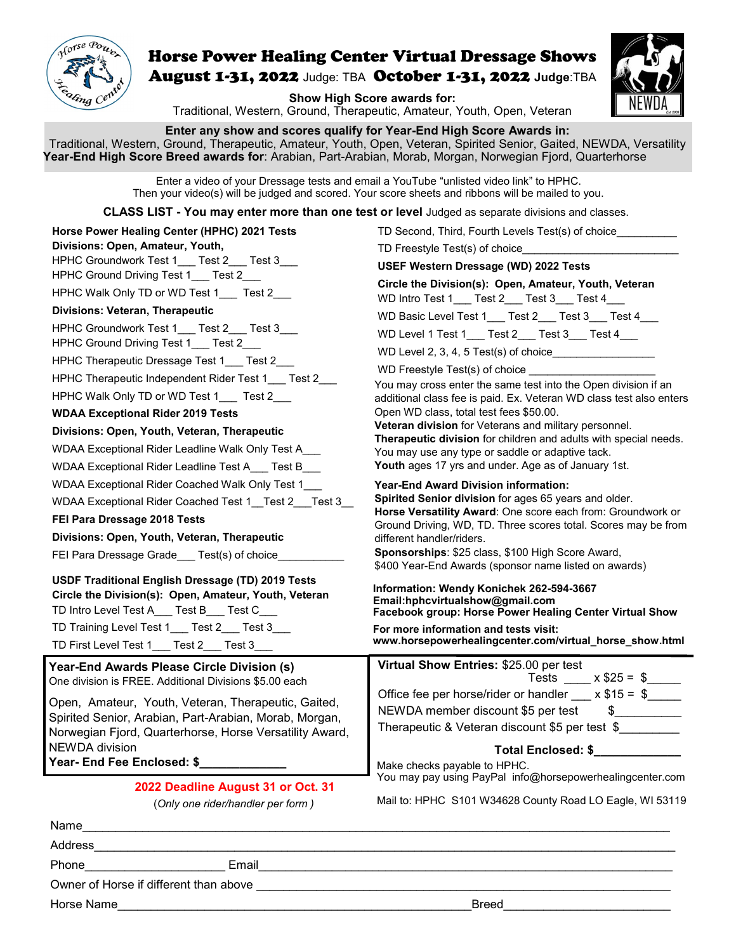

# Horse Power Healing Center Virtual Dressage Shows August 1-31, 2022 Judge: TBA October 1-31, 2022 **Judge**:TBA

**Show High Score awards for:** 



Traditional, Western, Ground, Therapeutic, Amateur, Youth, Open, Veteran

## **Enter any show and scores qualify for Year-End High Score Awards in:**

Traditional, Western, Ground, Therapeutic, Amateur, Youth, Open, Veteran, Spirited Senior, Gaited, NEWDA, Versatility **Year-End High Score Breed awards for**: Arabian, Part-Arabian, Morab, Morgan, Norwegian Fjord, Quarterhorse

> Enter a video of your Dressage tests and email a YouTube "unlisted video link" to HPHC. Then your video(s) will be judged and scored. Your score sheets and ribbons will be mailed to you.

**CLASS LIST - You may enter more than one test or level** Judged as separate divisions and classes.

| Horse Power Healing Center (HPHC) 2021 Tests<br>Divisions: Open, Amateur, Youth,<br>HPHC Groundwork Test 1___ Test 2___ Test 3___<br>HPHC Ground Driving Test 1___ Test 2___<br>HPHC Walk Only TD or WD Test 1___ Test 2___<br>Divisions: Veteran, Therapeutic<br>HPHC Groundwork Test 1___ Test 2___ Test 3___<br>HPHC Ground Driving Test 1___ Test 2___<br>HPHC Therapeutic Dressage Test 1___ Test 2___<br>HPHC Therapeutic Independent Rider Test 1___ Test 2___<br>HPHC Walk Only TD or WD Test 1___ Test 2___<br><b>WDAA Exceptional Rider 2019 Tests</b><br>Divisions: Open, Youth, Veteran, Therapeutic<br>WDAA Exceptional Rider Leadline Walk Only Test A___<br>WDAA Exceptional Rider Leadline Test A___ Test B___<br>WDAA Exceptional Rider Coached Walk Only Test 1___<br>WDAA Exceptional Rider Coached Test 1 Test 2 Test 3<br>FEI Para Dressage 2018 Tests<br>Divisions: Open, Youth, Veteran, Therapeutic<br>FEI Para Dressage Grade ___ Test(s) of choice _______<br>USDF Traditional English Dressage (TD) 2019 Tests<br>Circle the Division(s): Open, Amateur, Youth, Veteran<br>TD Intro Level Test A___ Test B___ Test C___ | TD Second, Third, Fourth Levels Test(s) of choice___________<br>USEF Western Dressage (WD) 2022 Tests<br>Circle the Division(s): Open, Amateur, Youth, Veteran<br>WD Intro Test 1___ Test 2___ Test 3___ Test 4___<br>WD Basic Level Test 1___ Test 2___ Test 3___ Test 4___<br>WD Level 1 Test 1___ Test 2___ Test 3___ Test 4___<br>You may cross enter the same test into the Open division if an<br>additional class fee is paid. Ex. Veteran WD class test also enters<br>Open WD class, total test fees \$50.00.<br>Veteran division for Veterans and military personnel.<br>Therapeutic division for children and adults with special needs.<br>You may use any type or saddle or adaptive tack.<br>Youth ages 17 yrs and under. Age as of January 1st.<br><b>Year-End Award Division information:</b><br>Spirited Senior division for ages 65 years and older.<br>Horse Versatility Award: One score each from: Groundwork or<br>Ground Driving, WD, TD. Three scores total. Scores may be from<br>different handler/riders.<br>Sponsorships: \$25 class, \$100 High Score Award,<br>\$400 Year-End Awards (sponsor name listed on awards)<br>Information: Wendy Konichek 262-594-3667<br>Email:hphcvirtualshow@gmail.com |
|----------------------------------------------------------------------------------------------------------------------------------------------------------------------------------------------------------------------------------------------------------------------------------------------------------------------------------------------------------------------------------------------------------------------------------------------------------------------------------------------------------------------------------------------------------------------------------------------------------------------------------------------------------------------------------------------------------------------------------------------------------------------------------------------------------------------------------------------------------------------------------------------------------------------------------------------------------------------------------------------------------------------------------------------------------------------------------------------------------------------------------------------------|-----------------------------------------------------------------------------------------------------------------------------------------------------------------------------------------------------------------------------------------------------------------------------------------------------------------------------------------------------------------------------------------------------------------------------------------------------------------------------------------------------------------------------------------------------------------------------------------------------------------------------------------------------------------------------------------------------------------------------------------------------------------------------------------------------------------------------------------------------------------------------------------------------------------------------------------------------------------------------------------------------------------------------------------------------------------------------------------------------------------------------------------------------------------------------------------------------------------------------------|
| TD Training Level Test 1___ Test 2___ Test 3___<br>TD First Level Test 1___ Test 2___ Test 3___                                                                                                                                                                                                                                                                                                                                                                                                                                                                                                                                                                                                                                                                                                                                                                                                                                                                                                                                                                                                                                                    | Facebook group: Horse Power Healing Center Virtual Show<br>For more information and tests visit:<br>www.horsepowerhealingcenter.com/virtual_horse_show.html                                                                                                                                                                                                                                                                                                                                                                                                                                                                                                                                                                                                                                                                                                                                                                                                                                                                                                                                                                                                                                                                       |
| Year-End Awards Please Circle Division (s)<br>One division is FREE. Additional Divisions \$5.00 each<br>Open, Amateur, Youth, Veteran, Therapeutic, Gaited,<br>Spirited Senior, Arabian, Part-Arabian, Morab, Morgan,<br>Norwegian Fjord, Quarterhorse, Horse Versatility Award,<br>NEWDA division<br><b>Year- End Fee Enclosed: \$</b><br>2022 Deadline August 31 or Oct. 31<br>(Only one rider/handler per form)                                                                                                                                                                                                                                                                                                                                                                                                                                                                                                                                                                                                                                                                                                                                 | Virtual Show Entries: \$25.00 per test<br>Tests $x $25 = $$<br>Office fee per horse/rider or handler ___ x \$15 = \$_____<br>NEWDA member discount \$5 per test<br>$\mathcal{S}$<br>Therapeutic & Veteran discount \$5 per test \$<br>Total Enclosed: \$<br>Make checks payable to HPHC.<br>You may pay using PayPal info@horsepowerhealingcenter.com<br>Mail to: HPHC S101 W34628 County Road LO Eagle, WI 53119                                                                                                                                                                                                                                                                                                                                                                                                                                                                                                                                                                                                                                                                                                                                                                                                                 |
| Name                                                                                                                                                                                                                                                                                                                                                                                                                                                                                                                                                                                                                                                                                                                                                                                                                                                                                                                                                                                                                                                                                                                                               |                                                                                                                                                                                                                                                                                                                                                                                                                                                                                                                                                                                                                                                                                                                                                                                                                                                                                                                                                                                                                                                                                                                                                                                                                                   |
| <b>Address</b>                                                                                                                                                                                                                                                                                                                                                                                                                                                                                                                                                                                                                                                                                                                                                                                                                                                                                                                                                                                                                                                                                                                                     |                                                                                                                                                                                                                                                                                                                                                                                                                                                                                                                                                                                                                                                                                                                                                                                                                                                                                                                                                                                                                                                                                                                                                                                                                                   |
| Email<br><b>Phone Contract Phone</b>                                                                                                                                                                                                                                                                                                                                                                                                                                                                                                                                                                                                                                                                                                                                                                                                                                                                                                                                                                                                                                                                                                               |                                                                                                                                                                                                                                                                                                                                                                                                                                                                                                                                                                                                                                                                                                                                                                                                                                                                                                                                                                                                                                                                                                                                                                                                                                   |

Owner of Horse if different than above

Horse Name **Name**